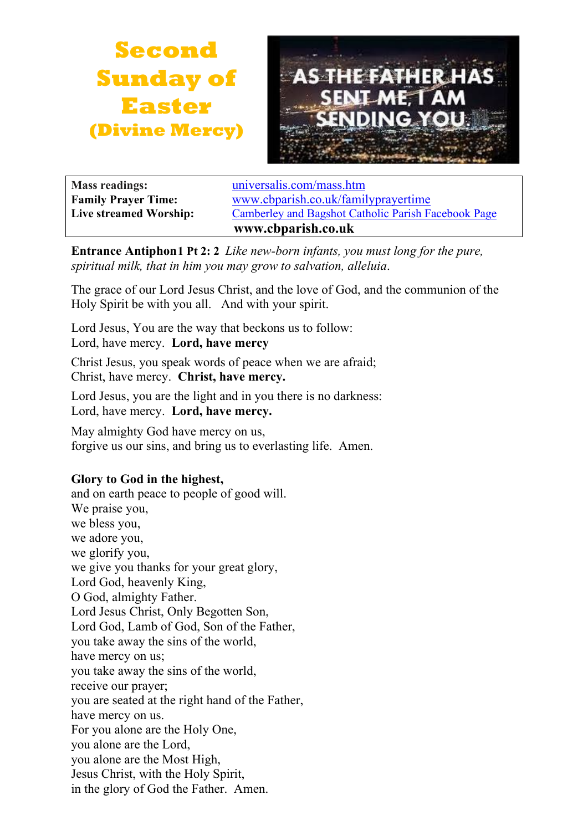



| <b>Mass readings:</b>      | universalis.com/mass.htm                            |
|----------------------------|-----------------------------------------------------|
| <b>Family Prayer Time:</b> | www.cbparish.co.uk/familyprayertime                 |
| Live streamed Worship:     | Camberley and Bagshot Catholic Parish Facebook Page |
|                            | www.cbparish.co.uk                                  |

**Entrance Antiphon1 Pt 2: 2** *Like new-born infants, you must long for the pure, spiritual milk, that in him you may grow to salvation, alleluia*.

The grace of our Lord Jesus Christ, and the love of God, and the communion of the Holy Spirit be with you all. And with your spirit.

Lord Jesus, You are the way that beckons us to follow: Lord, have mercy. **Lord, have mercy**

Christ Jesus, you speak words of peace when we are afraid; Christ, have mercy. **Christ, have mercy.**

Lord Jesus, you are the light and in you there is no darkness: Lord, have mercy. **Lord, have mercy.**

May almighty God have mercy on us, forgive us our sins, and bring us to everlasting life. Amen.

# **Glory to God in the highest,**

and on earth peace to people of good will. We praise you, we bless you, we adore you, we glorify you, we give you thanks for your great glory, Lord God, heavenly King, O God, almighty Father. Lord Jesus Christ, Only Begotten Son, Lord God, Lamb of God, Son of the Father, you take away the sins of the world, have mercy on us; you take away the sins of the world, receive our prayer; you are seated at the right hand of the Father, have mercy on us. For you alone are the Holy One, you alone are the Lord, you alone are the Most High, Jesus Christ, with the Holy Spirit, in the glory of God the Father. Amen.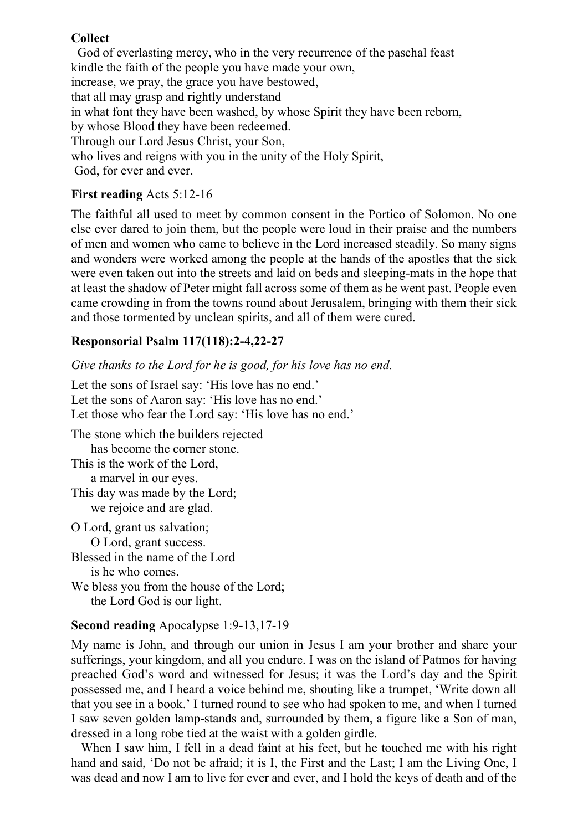#### **Collect**

God of everlasting mercy, who in the very recurrence of the paschal feast kindle the faith of the people you have made your own, increase, we pray, the grace you have bestowed, that all may grasp and rightly understand in what font they have been washed, by whose Spirit they have been reborn, by whose Blood they have been redeemed. Through our Lord Jesus Christ, your Son, who lives and reigns with you in the unity of the Holy Spirit, God, for ever and ever.

## **First reading** Acts 5:12-16

The faithful all used to meet by common consent in the Portico of Solomon. No one else ever dared to join them, but the people were loud in their praise and the numbers of men and women who came to believe in the Lord increased steadily. So many signs and wonders were worked among the people at the hands of the apostles that the sick were even taken out into the streets and laid on beds and sleeping-mats in the hope that at least the shadow of Peter might fall across some of them as he went past. People even came crowding in from the towns round about Jerusalem, bringing with them their sick and those tormented by unclean spirits, and all of them were cured.

## **Responsorial Psalm 117(118):2-4,22-27**

*Give thanks to the Lord for he is good, for his love has no end.*

Let the sons of Israel say: 'His love has no end.' Let the sons of Aaron say: 'His love has no end.' Let those who fear the Lord say: 'His love has no end.' The stone which the builders rejected has become the corner stone. This is the work of the Lord, a marvel in our eyes. This day was made by the Lord; we rejoice and are glad. O Lord, grant us salvation; O Lord, grant success. Blessed in the name of the Lord is he who comes. We bless you from the house of the Lord; the Lord God is our light.

#### **Second reading** Apocalypse 1:9-13,17-19

My name is John, and through our union in Jesus I am your brother and share your sufferings, your kingdom, and all you endure. I was on the island of Patmos for having preached God's word and witnessed for Jesus; it was the Lord's day and the Spirit possessed me, and I heard a voice behind me, shouting like a trumpet, 'Write down all that you see in a book.' I turned round to see who had spoken to me, and when I turned I saw seven golden lamp-stands and, surrounded by them, a figure like a Son of man, dressed in a long robe tied at the waist with a golden girdle.

When I saw him, I fell in a dead faint at his feet, but he touched me with his right hand and said, 'Do not be afraid; it is I, the First and the Last; I am the Living One, I was dead and now I am to live for ever and ever, and I hold the keys of death and of the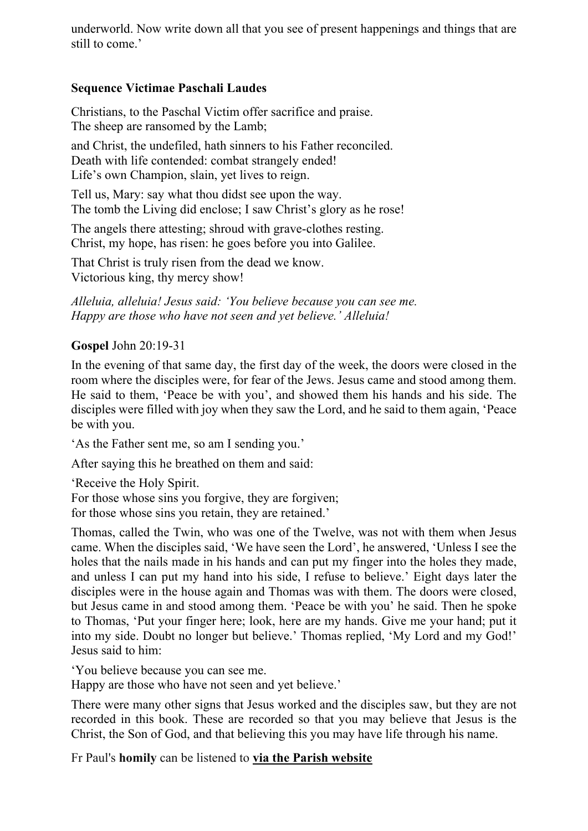underworld. Now write down all that you see of present happenings and things that are still to come.'

# **Sequence Victimae Paschali Laudes**

Christians, to the Paschal Victim offer sacrifice and praise. The sheep are ransomed by the Lamb;

and Christ, the undefiled, hath sinners to his Father reconciled. Death with life contended: combat strangely ended! Life's own Champion, slain, yet lives to reign.

Tell us, Mary: say what thou didst see upon the way. The tomb the Living did enclose; I saw Christ's glory as he rose!

The angels there attesting; shroud with grave-clothes resting. Christ, my hope, has risen: he goes before you into Galilee.

That Christ is truly risen from the dead we know. Victorious king, thy mercy show!

*Alleluia, alleluia! Jesus said: 'You believe because you can see me. Happy are those who have not seen and yet believe.' Alleluia!*

#### **Gospel** John 20:19-31

In the evening of that same day, the first day of the week, the doors were closed in the room where the disciples were, for fear of the Jews. Jesus came and stood among them. He said to them, 'Peace be with you', and showed them his hands and his side. The disciples were filled with joy when they saw the Lord, and he said to them again, 'Peace be with you.

'As the Father sent me, so am I sending you.'

After saying this he breathed on them and said:

'Receive the Holy Spirit.

For those whose sins you forgive, they are forgiven;

for those whose sins you retain, they are retained.'

Thomas, called the Twin, who was one of the Twelve, was not with them when Jesus came. When the disciples said, 'We have seen the Lord', he answered, 'Unless I see the holes that the nails made in his hands and can put my finger into the holes they made, and unless I can put my hand into his side, I refuse to believe.' Eight days later the disciples were in the house again and Thomas was with them. The doors were closed, but Jesus came in and stood among them. 'Peace be with you' he said. Then he spoke to Thomas, 'Put your finger here; look, here are my hands. Give me your hand; put it into my side. Doubt no longer but believe.' Thomas replied, 'My Lord and my God!' Jesus said to him:

'You believe because you can see me.

Happy are those who have not seen and yet believe.'

There were many other signs that Jesus worked and the disciples saw, but they are not recorded in this book. These are recorded so that you may believe that Jesus is the Christ, the Son of God, and that believing this you may have life through his name.

Fr Paul's **homily** can be listened to **via the Parish [website](https://www.cbparish.co.uk/homilies)**